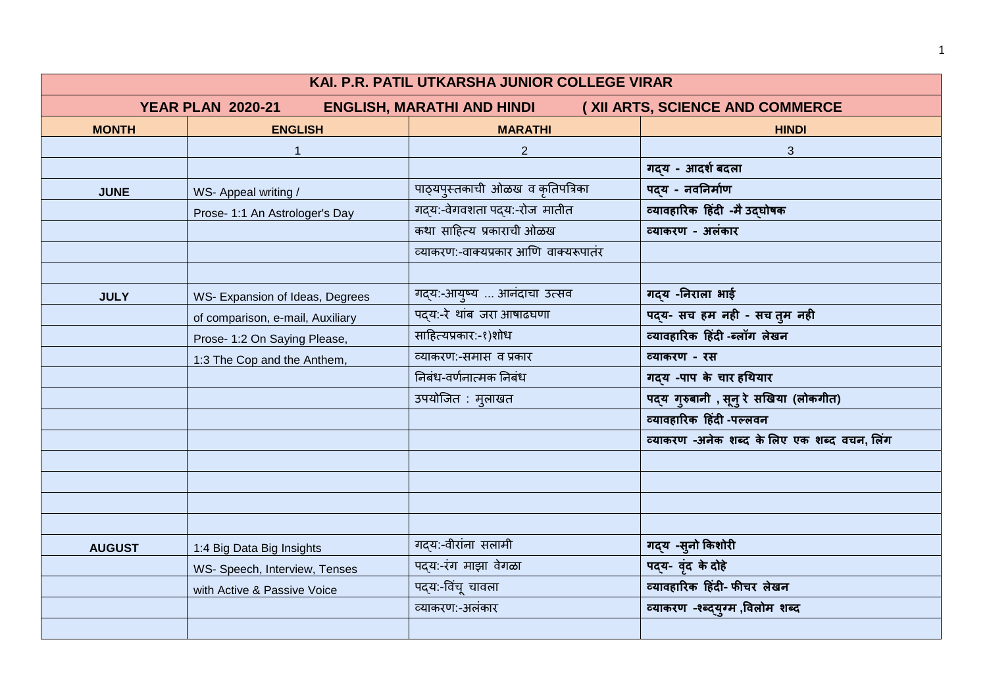| KAI. P.R. PATIL UTKARSHA JUNIOR COLLEGE VIRAR |                                                                                                  |                                       |                                             |  |
|-----------------------------------------------|--------------------------------------------------------------------------------------------------|---------------------------------------|---------------------------------------------|--|
|                                               | <b>YEAR PLAN 2020-21</b><br><b>ENGLISH, MARATHI AND HINDI</b><br>(XII ARTS, SCIENCE AND COMMERCE |                                       |                                             |  |
| <b>MONTH</b>                                  | <b>ENGLISH</b>                                                                                   | <b>MARATHI</b>                        | <b>HINDI</b>                                |  |
|                                               |                                                                                                  | $\overline{2}$                        | $\mathbf{3}$                                |  |
|                                               |                                                                                                  |                                       | गदय - आदर्श बदला                            |  |
| <b>JUNE</b>                                   | WS- Appeal writing /                                                                             | पाठ्यपुस्तकाची ओळख व कृतिपत्रिका      | पदय - नवनिर्माण                             |  |
|                                               | Prose- 1:1 An Astrologer's Day                                                                   | गद्य:-वेगवशता पद्य:-रोज मातीत         | व्यावहारिक हिंदी -मै उद्घोषक                |  |
|                                               |                                                                                                  | कथा साहित्य प्रकाराची ओळख             | व्याकरण - अलंकार                            |  |
|                                               |                                                                                                  | व्याकरण:-वाक्यप्रकार आणि वाक्यरूपातंर |                                             |  |
|                                               |                                                                                                  |                                       |                                             |  |
| <b>JULY</b>                                   | WS- Expansion of Ideas, Degrees                                                                  | गद्य:-आयुष्य  आनंदाचा उत्सव           | गदय -निराला भाई                             |  |
|                                               | of comparison, e-mail, Auxiliary                                                                 | पदय:-रे थांब जरा आषाढघणा              | पद्य- सच हम नही - सच तुम नही                |  |
|                                               | Prose- 1:2 On Saying Please,                                                                     | साहित्यप्रकार:-१)शोध                  | व्यावहारिक हिंदी -ब्लॉग लेखन                |  |
|                                               | 1:3 The Cop and the Anthem,                                                                      | व्याकरण:-समास व प्रकार                | व्याकरण - रस                                |  |
|                                               |                                                                                                  | निबंध-वर्णनात्मक निबंध                | गदय -पाप के चार हथियार                      |  |
|                                               |                                                                                                  | उपयोजित : मुलाखत                      | पद्य गुरुबानी , सूनु रे सखिया (लोकगीत)      |  |
|                                               |                                                                                                  |                                       | व्यावहारिक हिंदी -पल्लवन                    |  |
|                                               |                                                                                                  |                                       | व्याकरण -अनेक शब्द के लिए एक शब्द वचन, लिंग |  |
|                                               |                                                                                                  |                                       |                                             |  |
|                                               |                                                                                                  |                                       |                                             |  |
|                                               |                                                                                                  |                                       |                                             |  |
|                                               |                                                                                                  |                                       |                                             |  |
| <b>AUGUST</b>                                 | 1:4 Big Data Big Insights                                                                        | गदय:-वीरांना सलामी                    | गद्य -सुनो किशोरी                           |  |
|                                               | WS- Speech, Interview, Tenses                                                                    | पदय:-रंग माझा वेगळा                   | पद्य- वृंद के दोहे                          |  |
|                                               | with Active & Passive Voice                                                                      | पद्य:-विंचू चावला                     | व्यावहारिक हिंदी- फीचर लेखन                 |  |
|                                               |                                                                                                  | व्याकरण:-अलंकार                       | व्याकरण -श्ब्द्युग्म ,विलोम शब्द            |  |
|                                               |                                                                                                  |                                       |                                             |  |

1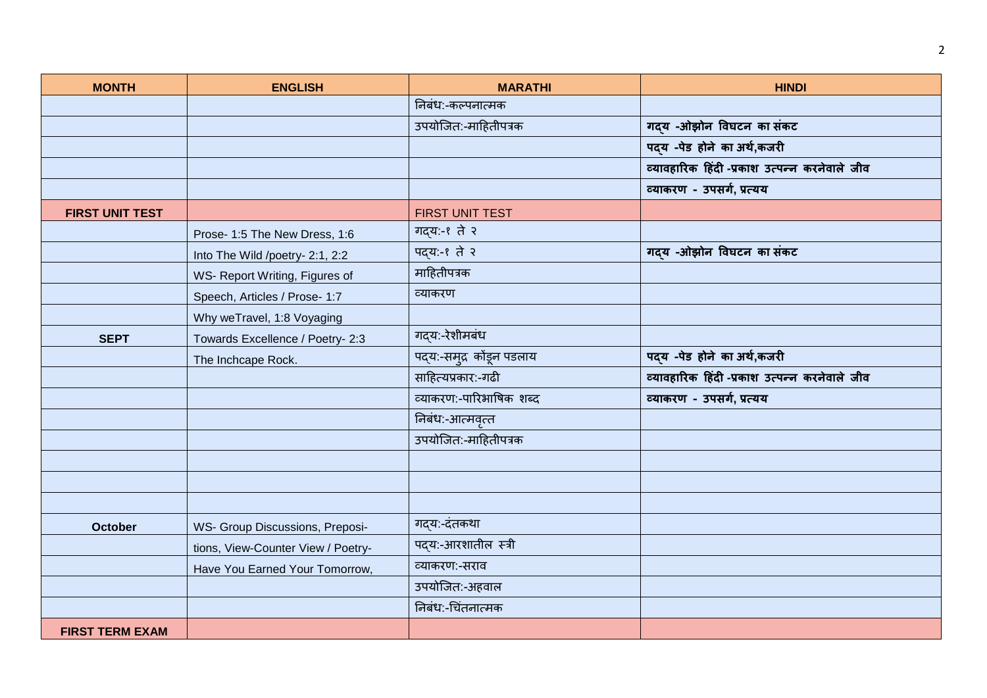| <b>MONTH</b>           | <b>ENGLISH</b>                     | <b>MARATHI</b>            | <b>HINDI</b>                                  |
|------------------------|------------------------------------|---------------------------|-----------------------------------------------|
|                        |                                    | निबंध:-कल्पनात्मक         |                                               |
|                        |                                    | उपयोजित:-माहितीपत्रक      | गदय -ओझोन विघटन का संकट                       |
|                        |                                    |                           | पद्य -पेड होने का अर्थ,कजरी                   |
|                        |                                    |                           | व्यावहारिक हिंदी -प्रकाश उत्पन्न करनेवाले जीव |
|                        |                                    |                           | व्याकरण - उपसर्ग, प्रत्यय                     |
| <b>FIRST UNIT TEST</b> |                                    | FIRST UNIT TEST           |                                               |
|                        | Prose- 1:5 The New Dress, 1:6      | गद्य:-९ ते २              |                                               |
|                        | Into The Wild /poetry- 2:1, 2:2    | पद्य:-१ ते २              | गद्य -ओझोन विघटन का संकट                      |
|                        | WS- Report Writing, Figures of     | माहितीपत्रक               |                                               |
|                        | Speech, Articles / Prose- 1:7      | व्याकरण                   |                                               |
|                        | Why weTravel, 1:8 Voyaging         |                           |                                               |
| <b>SEPT</b>            | Towards Excellence / Poetry- 2:3   | गद्य:-रेशीमबंध            |                                               |
|                        | The Inchcape Rock.                 | पद्य:-समुद्र कोंडून पडलाय | पद्य -पेड होने का अर्थ,कजरी                   |
|                        |                                    | साहित्यप्रकार:-गढी        | व्यावहारिक हिंदी -प्रकाश उत्पन्न करनेवाले जीव |
|                        |                                    | व्याकरण:-पारिभाषिक शब्द   | व्याकरण - उपसर्ग, प्रत्यय                     |
|                        |                                    | निबंध:-आत्मवृत्त          |                                               |
|                        |                                    | उपयोजित:-माहितीपत्रक      |                                               |
|                        |                                    |                           |                                               |
|                        |                                    |                           |                                               |
|                        |                                    |                           |                                               |
| <b>October</b>         | WS- Group Discussions, Preposi-    | गद्य:-दंतकथा              |                                               |
|                        | tions, View-Counter View / Poetry- | पदय:-आरशातील स्त्री       |                                               |
|                        | Have You Earned Your Tomorrow,     | व्याकरण:-सराव             |                                               |
|                        |                                    | उपयोजित:-अहवाल            |                                               |
|                        |                                    | निबंध:-चिंतनात्मक         |                                               |
| <b>FIRST TERM EXAM</b> |                                    |                           |                                               |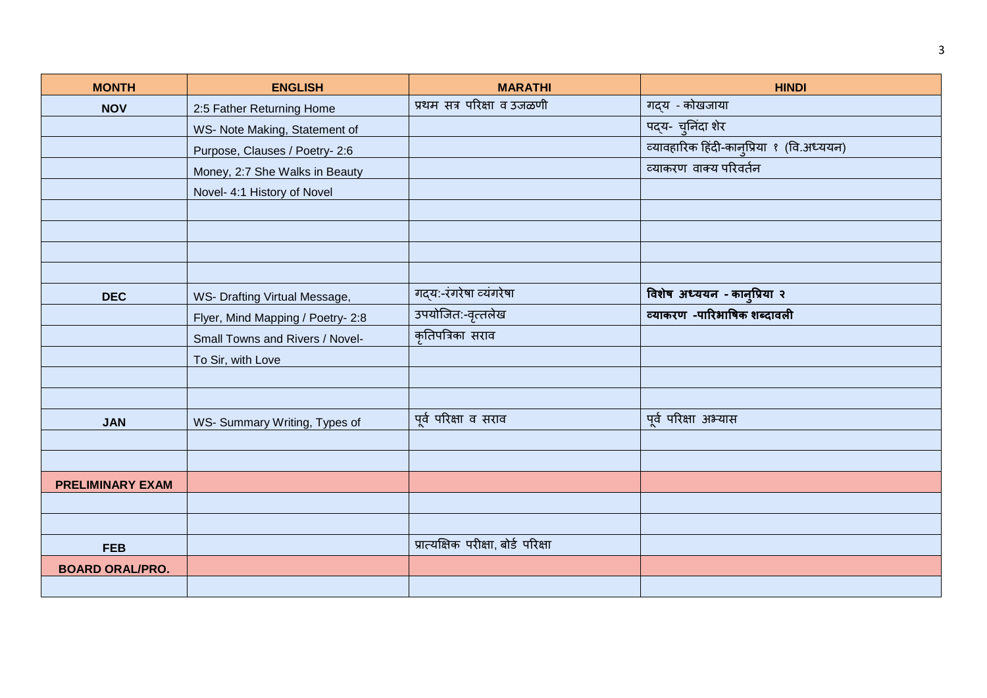| <b>MONTH</b>            | <b>ENGLISH</b>                    | <b>MARATHI</b>                      | <b>HINDI</b>                              |
|-------------------------|-----------------------------------|-------------------------------------|-------------------------------------------|
| <b>NOV</b>              | 2:5 Father Returning Home         | प्रथम सत्र परिक्षा व उजळणी          | गद्य - कोखजाया                            |
|                         | WS- Note Making, Statement of     |                                     | पद्य- चूनिंदा शेर                         |
|                         | Purpose, Clauses / Poetry- 2:6    |                                     | व्यावहारिक हिंदी-कान्प्रिया १ (वि.अध्ययन) |
|                         | Money, 2:7 She Walks in Beauty    |                                     | व्याकरण वाक्य परिवर्तन                    |
|                         | Novel- 4:1 History of Novel       |                                     |                                           |
|                         |                                   |                                     |                                           |
|                         |                                   |                                     |                                           |
|                         |                                   |                                     |                                           |
|                         |                                   |                                     |                                           |
| <b>DEC</b>              | WS- Drafting Virtual Message,     | गद्य:-रंगरेषा व्यंगरेषा             | विशेष अध्ययन - कानुप्रिया २               |
|                         | Flyer, Mind Mapping / Poetry- 2:8 | उपयोजित:-वृत्तलेख                   | व्याकरण -पारिभाषिक शब्दावली               |
|                         | Small Towns and Rivers / Novel-   | कृतिपत्रिका सराव                    |                                           |
|                         | To Sir, with Love                 |                                     |                                           |
|                         |                                   |                                     |                                           |
|                         |                                   |                                     |                                           |
| <b>JAN</b>              | WS- Summary Writing, Types of     | पूर्व परिक्षा व सराव                | पूर्व परिक्षा अभ्यास                      |
|                         |                                   |                                     |                                           |
|                         |                                   |                                     |                                           |
| <b>PRELIMINARY EXAM</b> |                                   |                                     |                                           |
|                         |                                   |                                     |                                           |
|                         |                                   |                                     |                                           |
| <b>FEB</b>              |                                   | प्रात्यक्षिक परीक्षा, बोर्ड परिक्षा |                                           |
| <b>BOARD ORAL/PRO.</b>  |                                   |                                     |                                           |
|                         |                                   |                                     |                                           |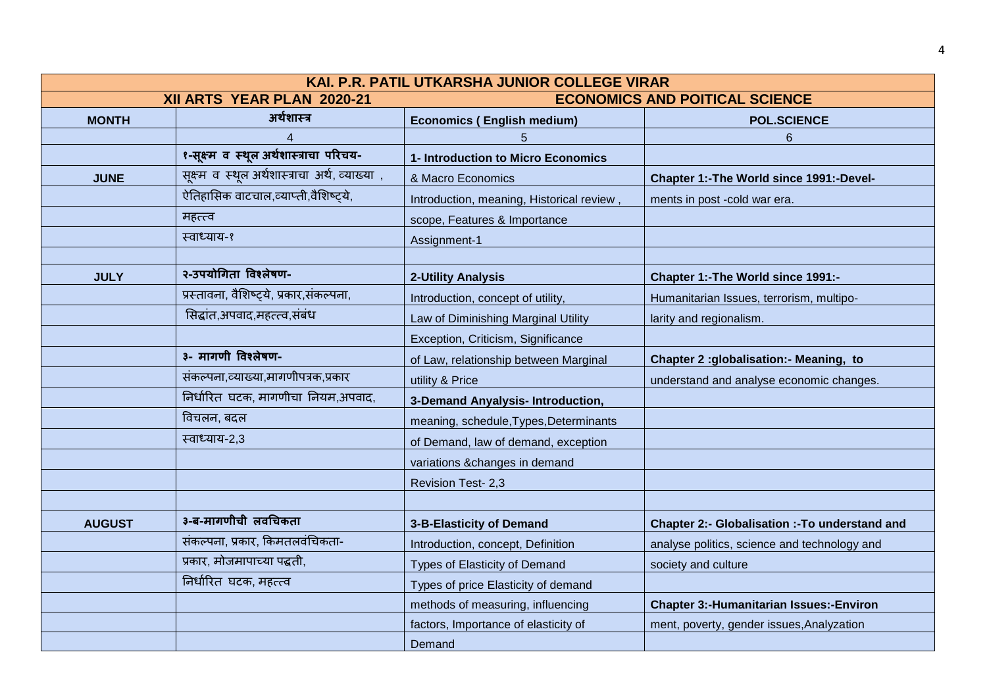| KAI. P.R. PATIL UTKARSHA JUNIOR COLLEGE VIRAR |                                                 |                                           |                                                       |
|-----------------------------------------------|-------------------------------------------------|-------------------------------------------|-------------------------------------------------------|
|                                               | XII ARTS YEAR PLAN 2020-21                      | <b>ECONOMICS AND POITICAL SCIENCE</b>     |                                                       |
| <b>MONTH</b>                                  | अर्थशास्त्र                                     | <b>Economics (English medium)</b>         | <b>POL.SCIENCE</b>                                    |
|                                               | 4                                               | 5                                         | $6\phantom{1}$                                        |
|                                               | १-सूक्ष्म व स्थूल अर्थशास्त्राचा परिचय-         | 1- Introduction to Micro Economics        |                                                       |
| <b>JUNE</b>                                   | सूक्ष्म व स्थूल अर्थशास्त्राचा अर्थ, व्याख्या , | & Macro Economics                         | Chapter 1:-The World since 1991:-Devel-               |
|                                               | ऐतिहासिक वाटचाल,व्याप्ती,वैशिष्ट्ये,            | Introduction, meaning, Historical review, | ments in post -cold war era.                          |
|                                               | महत्त्व                                         | scope, Features & Importance              |                                                       |
|                                               | स्वाध्याय-१                                     | Assignment-1                              |                                                       |
|                                               |                                                 |                                           |                                                       |
| <b>JULY</b>                                   | २-उपयोगिता विश्लेषण-                            | <b>2-Utility Analysis</b>                 | Chapter 1:-The World since 1991:-                     |
|                                               | प्रस्तावना, वैशिष्ट्ये, प्रकार,संकल्पना,        | Introduction, concept of utility,         | Humanitarian Issues, terrorism, multipo-              |
|                                               | सिद्धांत,अपवाद,महत्त्व,संबंध                    | Law of Diminishing Marginal Utility       | larity and regionalism.                               |
|                                               |                                                 | Exception, Criticism, Significance        |                                                       |
|                                               | ३- मागणी विश्लेषण-                              | of Law, relationship between Marginal     | Chapter 2 :globalisation:- Meaning, to                |
|                                               | संकल्पना,व्याख्या,मागणीपत्रक,प्रकार             | utility & Price                           | understand and analyse economic changes.              |
|                                               | निर्धारित घटक, मागणीचा नियम,अपवाद,              | 3-Demand Anyalysis- Introduction,         |                                                       |
|                                               | विचलन, बदल                                      | meaning, schedule, Types, Determinants    |                                                       |
|                                               | स्वाध्याय-2,3                                   | of Demand, law of demand, exception       |                                                       |
|                                               |                                                 | variations &changes in demand             |                                                       |
|                                               |                                                 | Revision Test- 2,3                        |                                                       |
|                                               |                                                 |                                           |                                                       |
| <b>AUGUST</b>                                 | ३-ब-मागणीची लवचिकता                             | 3-B-Elasticity of Demand                  | <b>Chapter 2:- Globalisation :- To understand and</b> |
|                                               | संकल्पना, प्रकार, किमतलवंचिकता-                 | Introduction, concept, Definition         | analyse politics, science and technology and          |
|                                               | प्रकार, मोजमापाच्या पद्धती,                     | Types of Elasticity of Demand             | society and culture                                   |
|                                               | निर्धारित घटक, महत्त्व                          | Types of price Elasticity of demand       |                                                       |
|                                               |                                                 | methods of measuring, influencing         | <b>Chapter 3:-Humanitarian Issues:-Environ</b>        |
|                                               |                                                 | factors, Importance of elasticity of      | ment, poverty, gender issues, Analyzation             |
|                                               |                                                 | Demand                                    |                                                       |

4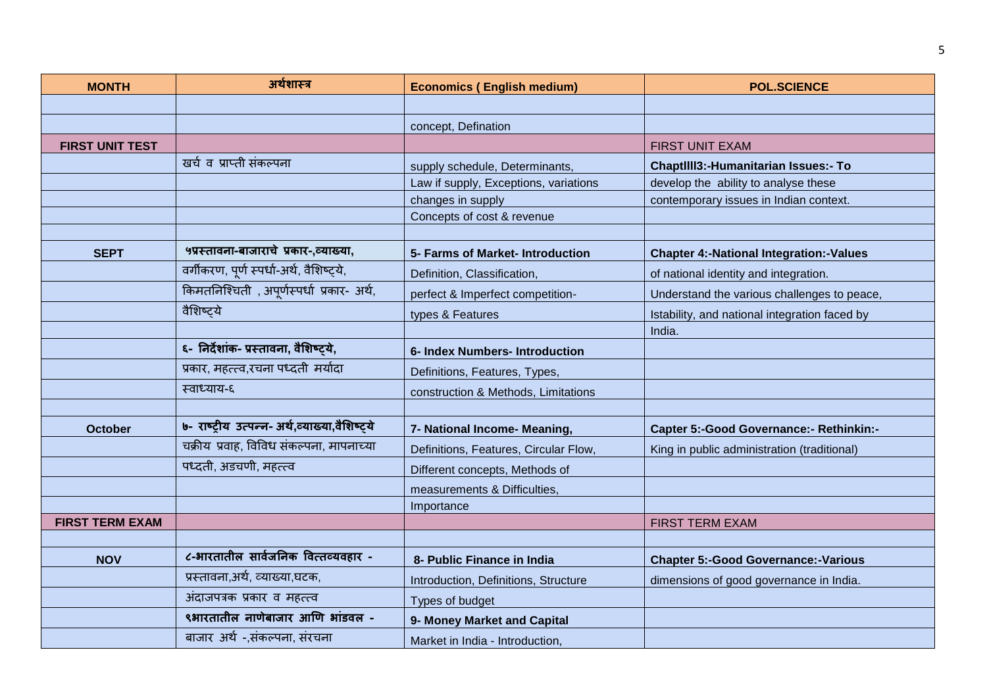| <b>MONTH</b>           | अर्थशास्त्र                                    | <b>Economics (English medium)</b>     | <b>POL.SCIENCE</b>                             |
|------------------------|------------------------------------------------|---------------------------------------|------------------------------------------------|
|                        |                                                |                                       |                                                |
|                        |                                                | concept, Defination                   |                                                |
| <b>FIRST UNIT TEST</b> |                                                |                                       | <b>FIRST UNIT EXAM</b>                         |
|                        | खर्च व प्राप्ती संकल्पना                       | supply schedule, Determinants,        | ChaptIIII3:-Humanitarian Issues:- To           |
|                        |                                                | Law if supply, Exceptions, variations | develop the ability to analyse these           |
|                        |                                                | changes in supply                     | contemporary issues in Indian context.         |
|                        |                                                | Concepts of cost & revenue            |                                                |
|                        |                                                |                                       |                                                |
| <b>SEPT</b>            | ५प्रस्तावना-बाजाराचे प्रकार-,व्याख्या,         | 5- Farms of Market- Introduction      | <b>Chapter 4:-National Integration:-Values</b> |
|                        | वर्गीकरण, पूर्ण स्पर्धा-अर्थ, वैशिष्ट्ये,      | Definition, Classification,           | of national identity and integration.          |
|                        | किमतनिश्चिती, अपूर्णस्पर्धा प्रकार- अर्थ,      | perfect & Imperfect competition-      | Understand the various challenges to peace,    |
|                        | वैशिष्ट्ये                                     | types & Features                      | Istability, and national integration faced by  |
|                        |                                                |                                       | India.                                         |
|                        | ६- निर्देशांक- प्रस्तावना, वैशिष्ट्ये,         | 6- Index Numbers- Introduction        |                                                |
|                        | प्रकार, महत्त्व,रचना पध्दती मर्यादा            | Definitions, Features, Types,         |                                                |
|                        | स्वाध्याय-६                                    | construction & Methods, Limitations   |                                                |
|                        |                                                |                                       |                                                |
| <b>October</b>         | ७- राष्ट्रीय उत्पन्न- अर्थ,व्याख्या,वैशिष्ट्ये | 7- National Income- Meaning,          | <b>Capter 5:-Good Governance:- Rethinkin:-</b> |
|                        | चक्रीय प्रवाह, विविध संकल्पना, मापनाच्या       | Definitions, Features, Circular Flow, | King in public administration (traditional)    |
|                        | पध्दती, अडचणी, महत्त्व                         | Different concepts, Methods of        |                                                |
|                        |                                                | measurements & Difficulties,          |                                                |
|                        |                                                | Importance                            |                                                |
| <b>FIRST TERM EXAM</b> |                                                |                                       | <b>FIRST TERM EXAM</b>                         |
|                        |                                                |                                       |                                                |
| <b>NOV</b>             | ८-भारतातील सार्वजनिक वित्तव्यवहार -            | 8- Public Finance in India            | <b>Chapter 5:-Good Governance:-Various</b>     |
|                        | प्रस्तावना,अर्थ, व्याख्या,घटक,                 | Introduction, Definitions, Structure  | dimensions of good governance in India.        |
|                        | अंदाजपत्रक प्रकार व महत्त्व                    | Types of budget                       |                                                |
|                        | ९भारतातील नाणेबाजार आणि भांडवल -               | 9- Money Market and Capital           |                                                |
|                        | बाजार अर्थ -,संकल्पना, संरचना                  | Market in India - Introduction,       |                                                |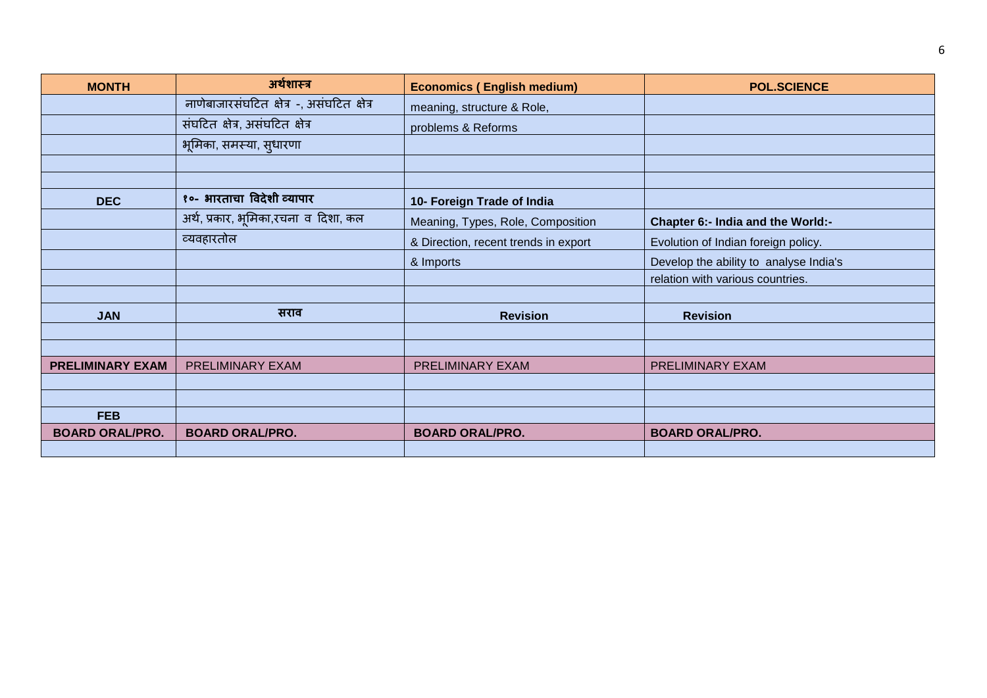| <b>MONTH</b>            | अर्थशास्त्र                                | <b>Economics (English medium)</b>    | <b>POL.SCIENCE</b>                     |
|-------------------------|--------------------------------------------|--------------------------------------|----------------------------------------|
|                         | नाणेबाजारसंघटित क्षेत्र -, असंघटित क्षेत्र | meaning, structure & Role,           |                                        |
|                         | संघटित क्षेत्र, असंघटित क्षेत्र            | problems & Reforms                   |                                        |
|                         | भूमिका, समस्या, सुधारणा                    |                                      |                                        |
|                         |                                            |                                      |                                        |
|                         |                                            |                                      |                                        |
| <b>DEC</b>              | १०- भारताचा विदेशी व्यापार                 | 10- Foreign Trade of India           |                                        |
|                         | अर्थ, प्रकार, भूमिका,रचना व दिशा, कल       | Meaning, Types, Role, Composition    | Chapter 6:- India and the World:-      |
|                         | व्यवहारतोल                                 | & Direction, recent trends in export | Evolution of Indian foreign policy.    |
|                         |                                            | & Imports                            | Develop the ability to analyse India's |
|                         |                                            |                                      | relation with various countries.       |
|                         |                                            |                                      |                                        |
| <b>JAN</b>              | सराव                                       | <b>Revision</b>                      | <b>Revision</b>                        |
|                         |                                            |                                      |                                        |
|                         |                                            |                                      |                                        |
| <b>PRELIMINARY EXAM</b> | PRELIMINARY EXAM                           | PRELIMINARY EXAM                     | PRELIMINARY EXAM                       |
|                         |                                            |                                      |                                        |
|                         |                                            |                                      |                                        |
| <b>FEB</b>              |                                            |                                      |                                        |
| <b>BOARD ORAL/PRO.</b>  | <b>BOARD ORAL/PRO.</b>                     | <b>BOARD ORAL/PRO.</b>               | <b>BOARD ORAL/PRO.</b>                 |
|                         |                                            |                                      |                                        |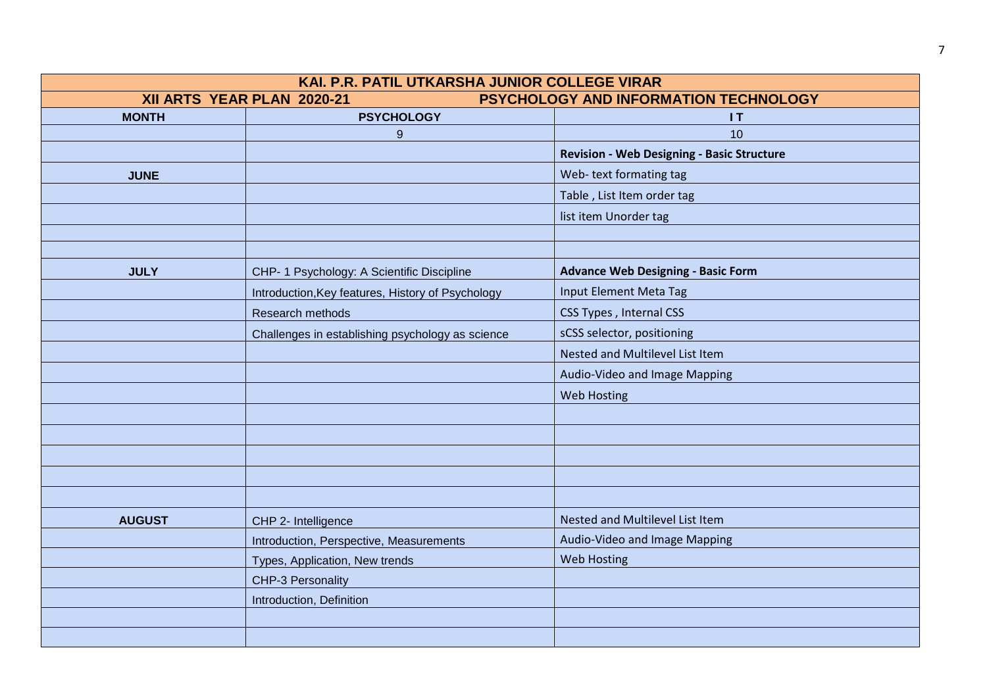| KAI. P.R. PATIL UTKARSHA JUNIOR COLLEGE VIRAR                       |                                                   |                                                   |  |
|---------------------------------------------------------------------|---------------------------------------------------|---------------------------------------------------|--|
| PSYCHOLOGY AND INFORMATION TECHNOLOGY<br>XII ARTS YEAR PLAN 2020-21 |                                                   |                                                   |  |
| <b>MONTH</b>                                                        | <b>PSYCHOLOGY</b>                                 | 1T                                                |  |
|                                                                     | 9                                                 | 10                                                |  |
|                                                                     |                                                   | <b>Revision - Web Designing - Basic Structure</b> |  |
| <b>JUNE</b>                                                         |                                                   | Web-text formating tag                            |  |
|                                                                     |                                                   | Table, List Item order tag                        |  |
|                                                                     |                                                   | list item Unorder tag                             |  |
|                                                                     |                                                   |                                                   |  |
|                                                                     |                                                   |                                                   |  |
| <b>JULY</b>                                                         | CHP- 1 Psychology: A Scientific Discipline        | <b>Advance Web Designing - Basic Form</b>         |  |
|                                                                     | Introduction, Key features, History of Psychology | Input Element Meta Tag                            |  |
|                                                                     | Research methods                                  | CSS Types, Internal CSS                           |  |
|                                                                     | Challenges in establishing psychology as science  | sCSS selector, positioning                        |  |
|                                                                     |                                                   | Nested and Multilevel List Item                   |  |
|                                                                     |                                                   | Audio-Video and Image Mapping                     |  |
|                                                                     |                                                   | <b>Web Hosting</b>                                |  |
|                                                                     |                                                   |                                                   |  |
|                                                                     |                                                   |                                                   |  |
|                                                                     |                                                   |                                                   |  |
|                                                                     |                                                   |                                                   |  |
|                                                                     |                                                   |                                                   |  |
| <b>AUGUST</b>                                                       | CHP 2- Intelligence                               | Nested and Multilevel List Item                   |  |
|                                                                     | Introduction, Perspective, Measurements           | Audio-Video and Image Mapping                     |  |
|                                                                     | Types, Application, New trends                    | <b>Web Hosting</b>                                |  |
|                                                                     | CHP-3 Personality                                 |                                                   |  |
|                                                                     | Introduction, Definition                          |                                                   |  |
|                                                                     |                                                   |                                                   |  |
|                                                                     |                                                   |                                                   |  |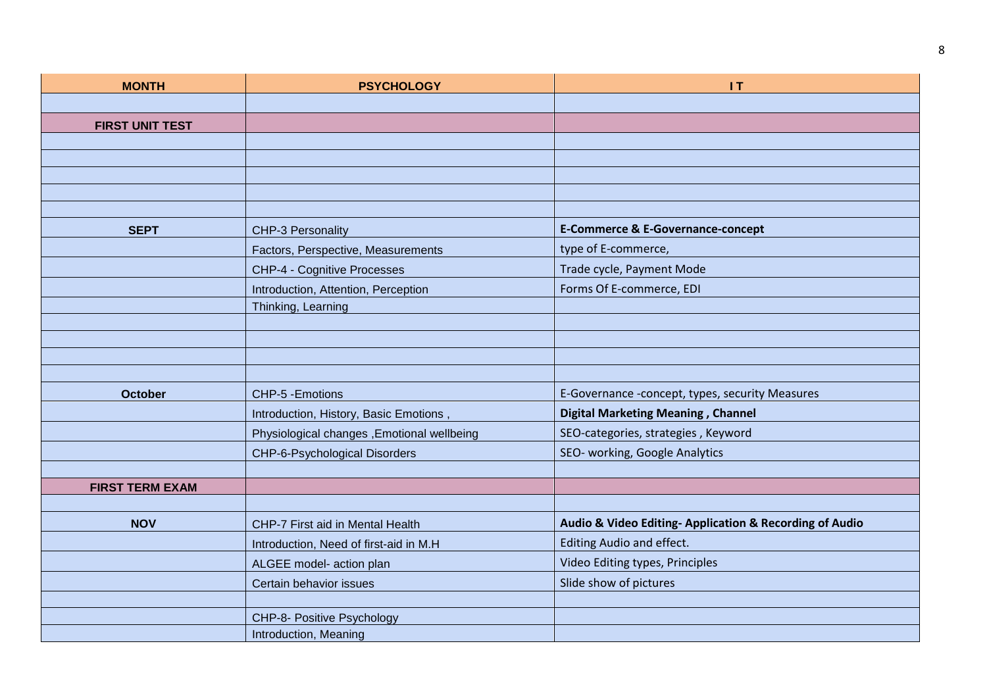| <b>MONTH</b>           | <b>PSYCHOLOGY</b>                          | 1T                                                     |
|------------------------|--------------------------------------------|--------------------------------------------------------|
|                        |                                            |                                                        |
| <b>FIRST UNIT TEST</b> |                                            |                                                        |
|                        |                                            |                                                        |
|                        |                                            |                                                        |
|                        |                                            |                                                        |
|                        |                                            |                                                        |
| <b>SEPT</b>            |                                            | <b>E-Commerce &amp; E-Governance-concept</b>           |
|                        | CHP-3 Personality                          |                                                        |
|                        | Factors, Perspective, Measurements         | type of E-commerce,                                    |
|                        | CHP-4 - Cognitive Processes                | Trade cycle, Payment Mode                              |
|                        | Introduction, Attention, Perception        | Forms Of E-commerce, EDI                               |
|                        | Thinking, Learning                         |                                                        |
|                        |                                            |                                                        |
|                        |                                            |                                                        |
|                        |                                            |                                                        |
| <b>October</b>         | CHP-5 - Emotions                           | E-Governance -concept, types, security Measures        |
|                        | Introduction, History, Basic Emotions,     | <b>Digital Marketing Meaning, Channel</b>              |
|                        | Physiological changes, Emotional wellbeing | SEO-categories, strategies, Keyword                    |
|                        | CHP-6-Psychological Disorders              | SEO- working, Google Analytics                         |
|                        |                                            |                                                        |
| <b>FIRST TERM EXAM</b> |                                            |                                                        |
|                        |                                            |                                                        |
| <b>NOV</b>             | CHP-7 First aid in Mental Health           | Audio & Video Editing-Application & Recording of Audio |
|                        | Introduction, Need of first-aid in M.H     | Editing Audio and effect.                              |
|                        | ALGEE model- action plan                   | Video Editing types, Principles                        |
|                        | Certain behavior issues                    | Slide show of pictures                                 |
|                        |                                            |                                                        |
|                        | CHP-8- Positive Psychology                 |                                                        |
|                        | Introduction, Meaning                      |                                                        |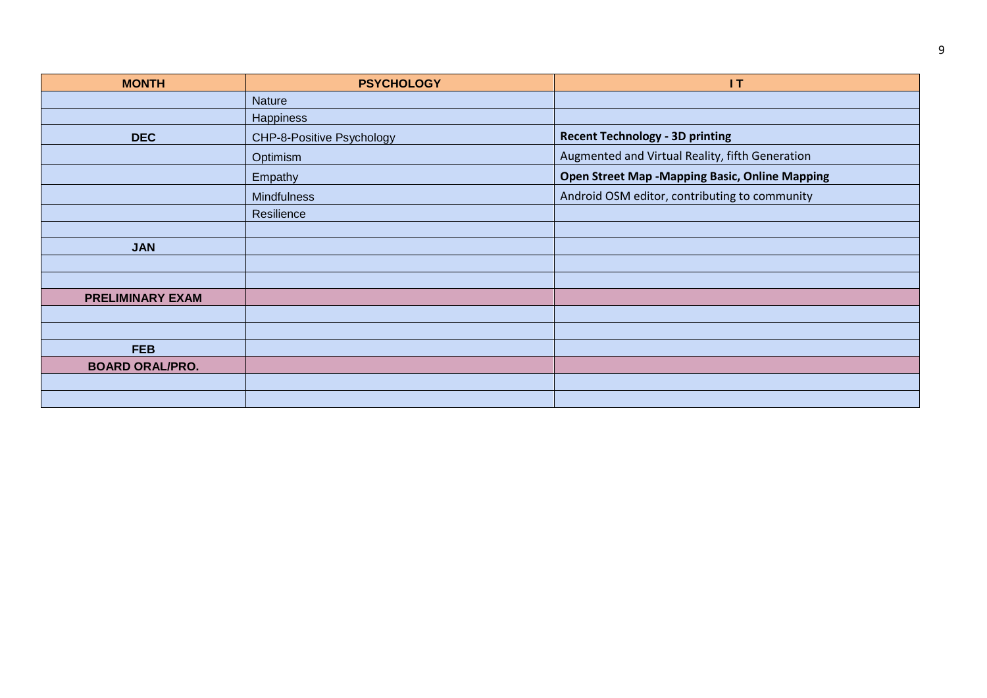| <b>MONTH</b>            | <b>PSYCHOLOGY</b>         | 1T                                                    |
|-------------------------|---------------------------|-------------------------------------------------------|
|                         | <b>Nature</b>             |                                                       |
|                         | Happiness                 |                                                       |
| <b>DEC</b>              | CHP-8-Positive Psychology | <b>Recent Technology - 3D printing</b>                |
|                         | Optimism                  | Augmented and Virtual Reality, fifth Generation       |
|                         | Empathy                   | <b>Open Street Map -Mapping Basic, Online Mapping</b> |
|                         | <b>Mindfulness</b>        | Android OSM editor, contributing to community         |
|                         | Resilience                |                                                       |
|                         |                           |                                                       |
| <b>JAN</b>              |                           |                                                       |
|                         |                           |                                                       |
|                         |                           |                                                       |
| <b>PRELIMINARY EXAM</b> |                           |                                                       |
|                         |                           |                                                       |
|                         |                           |                                                       |
| <b>FEB</b>              |                           |                                                       |
| <b>BOARD ORAL/PRO.</b>  |                           |                                                       |
|                         |                           |                                                       |
|                         |                           |                                                       |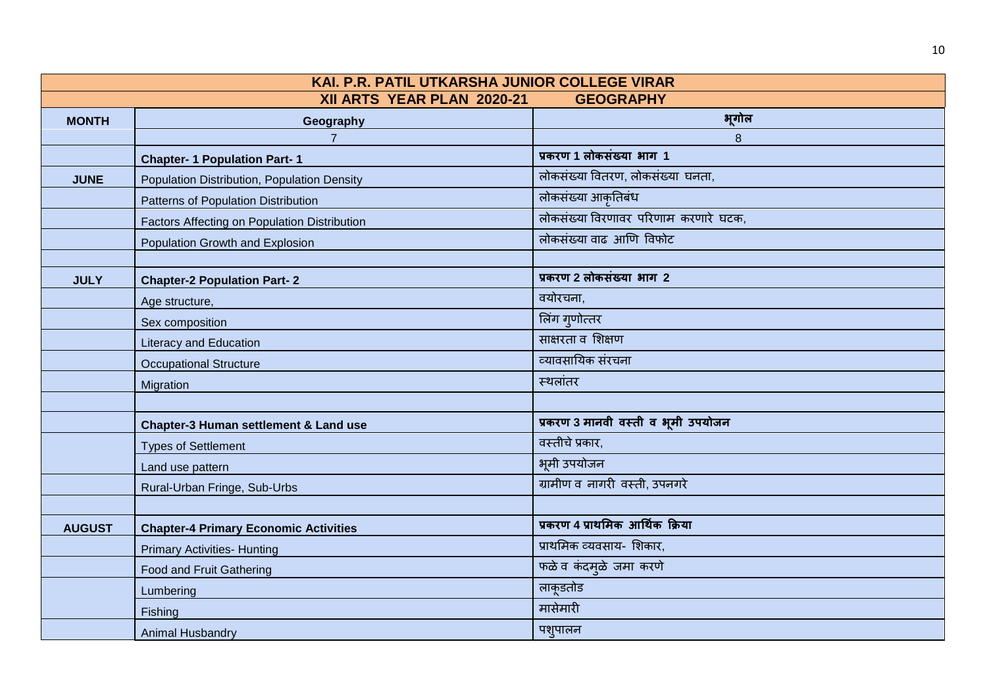| KAI. P.R. PATIL UTKARSHA JUNIOR COLLEGE VIRAR  |                                                  |                                      |  |
|------------------------------------------------|--------------------------------------------------|--------------------------------------|--|
| XII ARTS YEAR PLAN 2020-21<br><b>GEOGRAPHY</b> |                                                  |                                      |  |
| <b>MONTH</b>                                   | Geography                                        | भूगोल                                |  |
|                                                | $\overline{7}$                                   | 8                                    |  |
|                                                | <b>Chapter- 1 Population Part-1</b>              | प्रकरण 1 लोकसंख्या भाग 1             |  |
| <b>JUNE</b>                                    | Population Distribution, Population Density      | लोकसंख्या वितरण, लोकसंख्या घनता,     |  |
|                                                | Patterns of Population Distribution              | लोकसंख्या आकृतिबंध                   |  |
|                                                | Factors Affecting on Population Distribution     | लोकसंख्या विरणावर परिणाम करणारे घटक, |  |
|                                                | Population Growth and Explosion                  | लोकसंख्या वाढ आणि विफोट              |  |
|                                                |                                                  |                                      |  |
| <b>JULY</b>                                    | <b>Chapter-2 Population Part-2</b>               | प्रकरण 2 लोकसंख्या भाग 2             |  |
|                                                | Age structure,                                   | वयोरचना,                             |  |
|                                                | Sex composition                                  | लिंग गुणोत्तर                        |  |
|                                                | <b>Literacy and Education</b>                    | साक्षरता व शिक्षण                    |  |
|                                                | <b>Occupational Structure</b>                    | व्यावसायिक संरचना                    |  |
|                                                | Migration                                        | स्थलांतर                             |  |
|                                                |                                                  |                                      |  |
|                                                | <b>Chapter-3 Human settlement &amp; Land use</b> | प्रकरण 3 मानवी वस्ती व भूमी उपयोजन   |  |
|                                                | <b>Types of Settlement</b>                       | वस्तीचे प्रकार,                      |  |
|                                                | Land use pattern                                 | भूमी उपयोजन                          |  |
|                                                | Rural-Urban Fringe, Sub-Urbs                     | ग्रामीण व नागरी वस्ती, उपनगरे        |  |
|                                                |                                                  |                                      |  |
| <b>AUGUST</b>                                  | <b>Chapter-4 Primary Economic Activities</b>     | प्रकरण 4 प्राथमिक आर्थिक क्रिया      |  |
|                                                | <b>Primary Activities- Hunting</b>               | प्राथमिक व्यवसाय- शिकार,             |  |
|                                                | <b>Food and Fruit Gathering</b>                  | फळे व कंदमूळे जमा करणे               |  |
|                                                | Lumbering                                        | लाकूडतोड                             |  |
|                                                | Fishing                                          | मासेमारी                             |  |
|                                                | <b>Animal Husbandry</b>                          | पश्पालन                              |  |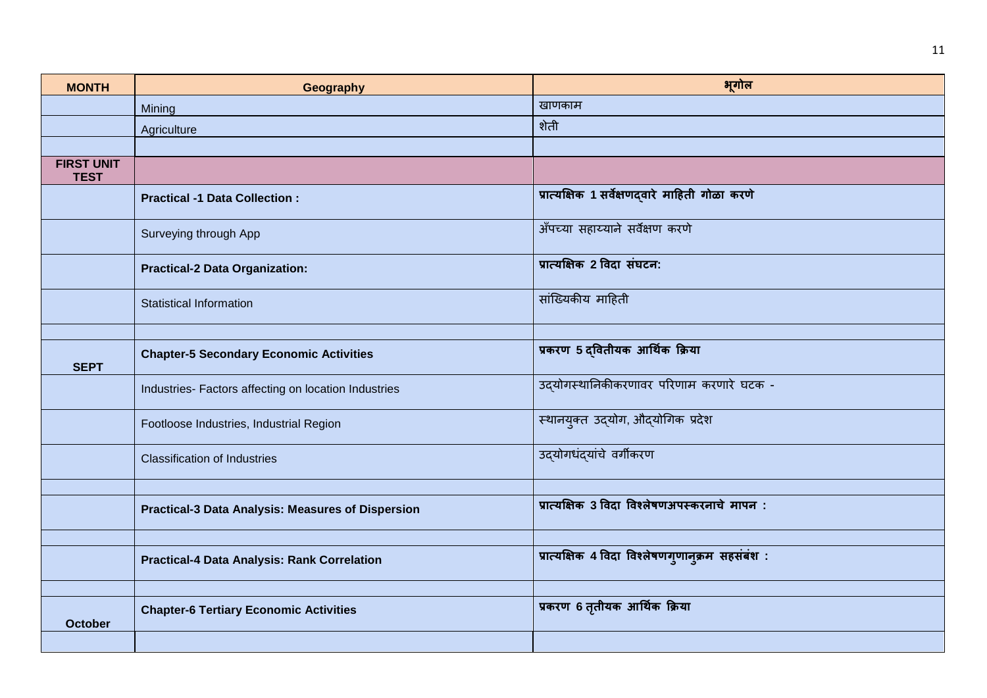| <b>MONTH</b>                     | Geography                                                | भूगोल                                           |
|----------------------------------|----------------------------------------------------------|-------------------------------------------------|
|                                  | Mining                                                   | खाणकाम                                          |
|                                  | Agriculture                                              | शेती                                            |
|                                  |                                                          |                                                 |
| <b>FIRST UNIT</b><br><b>TEST</b> |                                                          |                                                 |
|                                  | <b>Practical -1 Data Collection:</b>                     | प्रात्यक्षिक 1 सर्वेक्षणद्वारे माहिती गोळा करणे |
|                                  | Surveying through App                                    | अँपच्या सहाय्याने सर्वेक्षण करणे                |
|                                  | <b>Practical-2 Data Organization:</b>                    | प्रात्यक्षिक 2 विदा संघटन:                      |
|                                  | <b>Statistical Information</b>                           | सांख्यिकीय माहिती                               |
|                                  |                                                          |                                                 |
| <b>SEPT</b>                      | <b>Chapter-5 Secondary Economic Activities</b>           | प्रकरण 5 दवितीयक आर्थिक क्रिया                  |
|                                  | Industries- Factors affecting on location Industries     | उद्योगस्थानिकीकरणावर परिणाम करणारे घटक -        |
|                                  | Footloose Industries, Industrial Region                  | स्थानयुक्त उद्योग, औद्योगिक प्रदेश              |
|                                  | <b>Classification of Industries</b>                      | उद्योगधंद्यांचे वर्गीकरण                        |
|                                  |                                                          |                                                 |
|                                  | <b>Practical-3 Data Analysis: Measures of Dispersion</b> | प्रात्यक्षिक 3 विदा विश्लेषणअपस्करनाचे मापन:    |
|                                  |                                                          |                                                 |
|                                  | <b>Practical-4 Data Analysis: Rank Correlation</b>       | प्रात्यक्षिक 4 विदा विश्लेषणगुणानुक्रम सहसंबंश: |
|                                  |                                                          |                                                 |
| <b>October</b>                   | <b>Chapter-6 Tertiary Economic Activities</b>            | प्रकरण 6 तृतीयक आर्थिक क्रिया                   |
|                                  |                                                          |                                                 |

11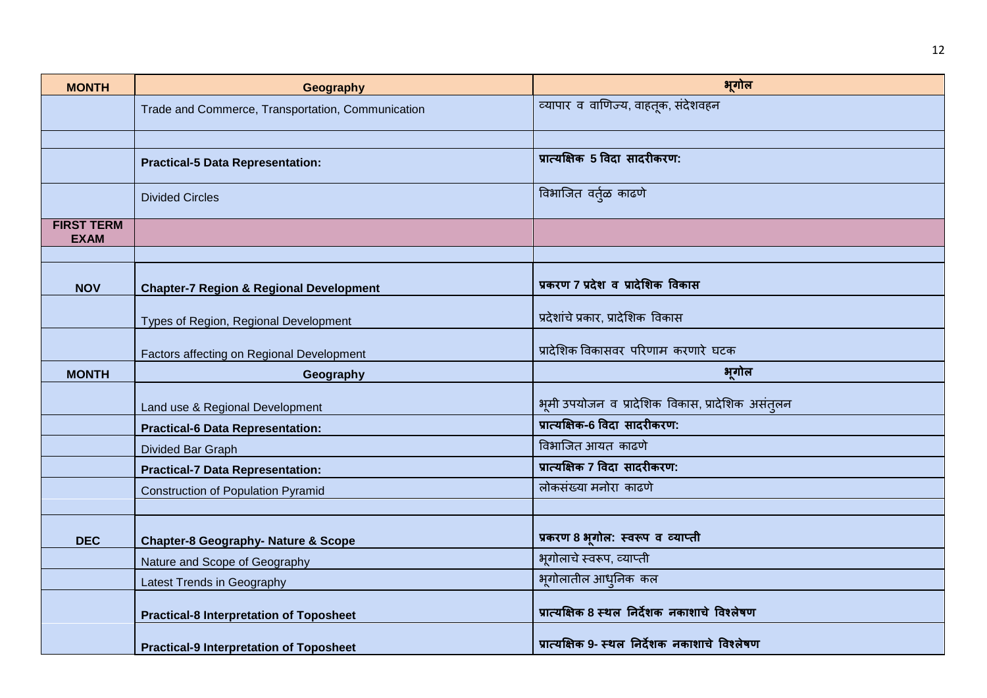| <b>MONTH</b>                     | Geography                                          | भगोल                                                     |
|----------------------------------|----------------------------------------------------|----------------------------------------------------------|
|                                  | Trade and Commerce, Transportation, Communication  | व्यापार व वाणिज्य, वाहतूक, संदेशवहन                      |
|                                  |                                                    |                                                          |
|                                  | <b>Practical-5 Data Representation:</b>            | प्रात्यक्षिक 5 विदा सादरीकरण:                            |
|                                  | <b>Divided Circles</b>                             | विभाजित वर्त्ळ काढणे                                     |
| <b>FIRST TERM</b><br><b>EXAM</b> |                                                    |                                                          |
|                                  |                                                    |                                                          |
| <b>NOV</b>                       | <b>Chapter-7 Region &amp; Regional Development</b> | प्रकरण 7 प्रदेश व प्रादेशिक विकास                        |
|                                  | Types of Region, Regional Development              | प्रदेशांचे प्रकार, प्रादेशिक विकास                       |
|                                  | Factors affecting on Regional Development          | प्रादेशिक विकासवर परिणाम करणारे घटक                      |
| <b>MONTH</b>                     | Geography                                          | भूगोल                                                    |
|                                  | Land use & Regional Development                    | भूमी उपयोजन व प्रादेशिक विकास, प्रादेशिक असंत् <i>लन</i> |
|                                  | <b>Practical-6 Data Representation:</b>            | प्रात्यक्षिक-6 विदा सादरीकरण:                            |
|                                  | Divided Bar Graph                                  | विभाजित आयत काढणे                                        |
|                                  | <b>Practical-7 Data Representation:</b>            | प्रात्यक्षिक 7 विदा सादरीकरण:                            |
|                                  | <b>Construction of Population Pyramid</b>          | लोकसंख्या मनोरा काढणे                                    |
|                                  |                                                    |                                                          |
| <b>DEC</b>                       | <b>Chapter-8 Geography- Nature &amp; Scope</b>     | प्रकरण 8 भूगोल: स्वरूप व व्याप्ती                        |
|                                  | Nature and Scope of Geography                      | भूगोलाचे स्वरूप, व्याप्ती                                |
|                                  | Latest Trends in Geography                         | भूगोलातील आधुनिक कल                                      |
|                                  | <b>Practical-8 Interpretation of Toposheet</b>     | प्रात्यक्षिक 8 स्थल निर्देशक नकाशाचे विश्लेषण            |
|                                  | <b>Practical-9 Interpretation of Toposheet</b>     | प्रात्यक्षिक 9- स्थल निर्देशक नकाशाचे विश्लेषण           |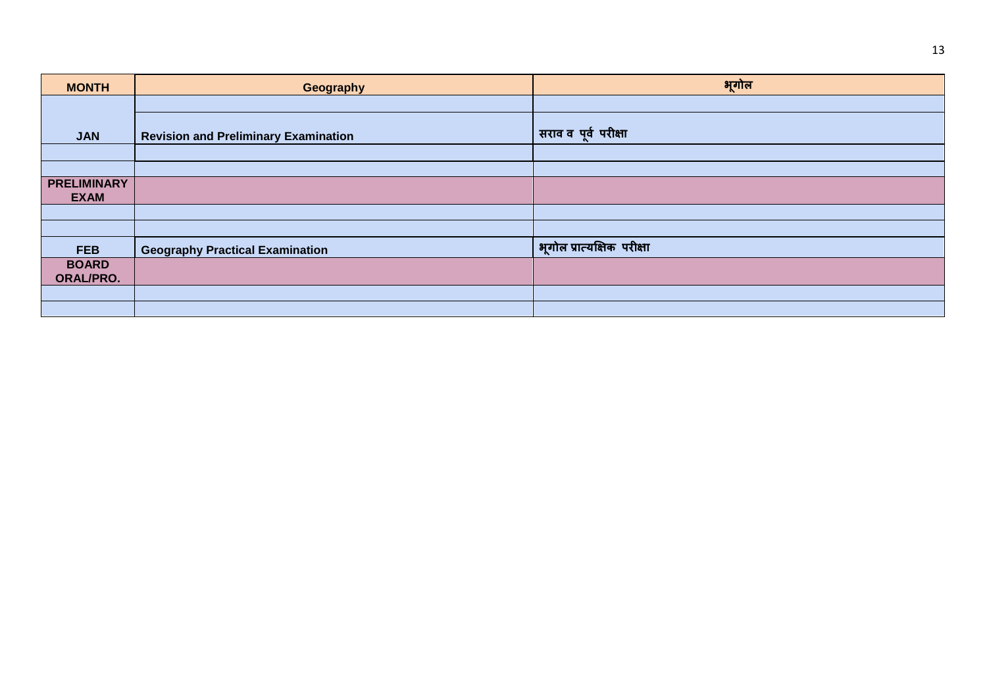| <b>MONTH</b>                      | Geography                                   | भूगोल                             |
|-----------------------------------|---------------------------------------------|-----------------------------------|
|                                   |                                             |                                   |
| <b>JAN</b>                        | <b>Revision and Preliminary Examination</b> | <sup>।</sup> सराव व पूर्व परीक्षा |
|                                   |                                             |                                   |
|                                   |                                             |                                   |
| <b>PRELIMINARY</b><br><b>EXAM</b> |                                             |                                   |
|                                   |                                             |                                   |
|                                   |                                             |                                   |
| <b>FEB</b>                        | <b>Geography Practical Examination</b>      | भूगोल प्रात्यक्षिक परीक्षा        |
| <b>BOARD</b><br><b>ORAL/PRO.</b>  |                                             |                                   |
|                                   |                                             |                                   |
|                                   |                                             |                                   |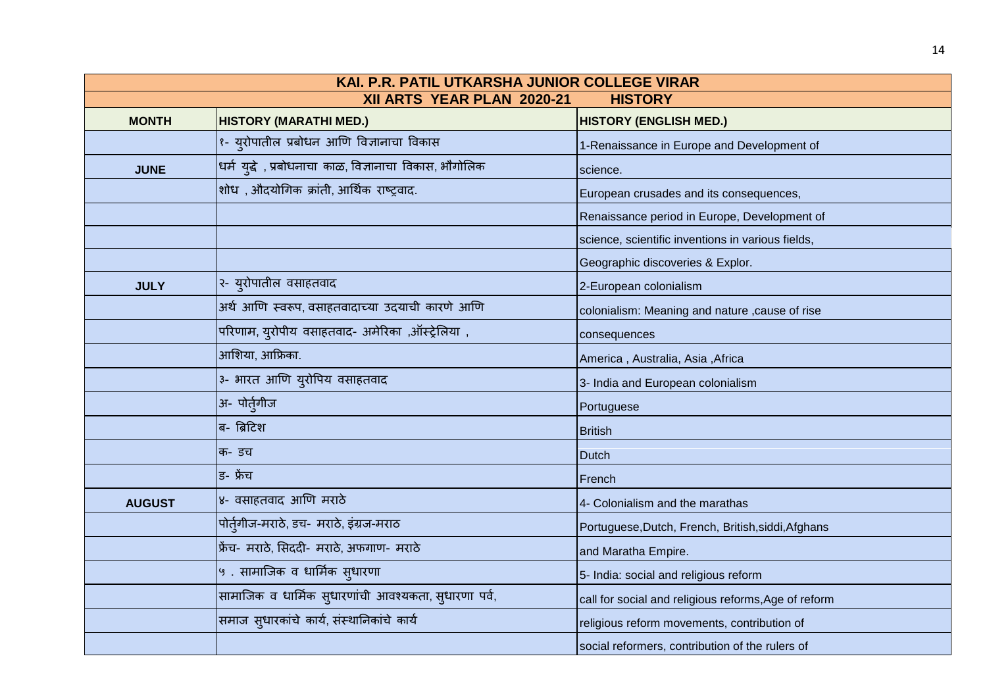| KAI. P.R. PATIL UTKARSHA JUNIOR COLLEGE VIRAR |                                                         |                                                      |  |  |
|-----------------------------------------------|---------------------------------------------------------|------------------------------------------------------|--|--|
| XII ARTS YEAR PLAN 2020-21<br><b>HISTORY</b>  |                                                         |                                                      |  |  |
| <b>MONTH</b>                                  | <b>HISTORY (MARATHI MED.)</b>                           | <b>HISTORY (ENGLISH MED.)</b>                        |  |  |
|                                               | १- य्रोपातील प्रबोधन आणि विज्ञानाचा विकास               | 1-Renaissance in Europe and Development of           |  |  |
| <b>JUNE</b>                                   | धर्म युद्धे , प्रबोधनाचा काळ, विज्ञानाचा विकास, भौगोलिक | science.                                             |  |  |
|                                               | शोध), औदयोगिक क्रांती, आर्थिक राष्ट्रवाद.               | European crusades and its consequences,              |  |  |
|                                               |                                                         | Renaissance period in Europe, Development of         |  |  |
|                                               |                                                         | science, scientific inventions in various fields,    |  |  |
|                                               |                                                         | Geographic discoveries & Explor.                     |  |  |
| <b>JULY</b>                                   | २- युरोपातील वसाहतवाद                                   | 2-European colonialism                               |  |  |
|                                               | अर्थ आणि स्वरूप, वसाहतवादाच्या उदयाची कारणे आणि         | colonialism: Meaning and nature , cause of rise      |  |  |
|                                               | परिणाम, युरोपीय वसाहतवाद- अमेरिका ,ऑस्ट्रेलिया ,        | consequences                                         |  |  |
|                                               | आशिया, आफ्रिका.                                         | America, Australia, Asia, Africa                     |  |  |
|                                               | ३- भारत आणि युरोपिय वसाहतवाद                            | 3- India and European colonialism                    |  |  |
|                                               | अ- पोर्तुगीज                                            | Portuguese                                           |  |  |
|                                               | ब- ब्रिटिश                                              | <b>British</b>                                       |  |  |
|                                               | क- डच                                                   | <b>Dutch</b>                                         |  |  |
|                                               | ਤ- फ्रेंच                                               | French                                               |  |  |
| <b>AUGUST</b>                                 | ४- वसाहतवाद आणि मराठे                                   | 4- Colonialism and the marathas                      |  |  |
|                                               | पोर्तुगीज-मराठे, डच- मराठे, इंग्रज-मराठ                 | Portuguese, Dutch, French, British, siddi, Afghans   |  |  |
|                                               | फ्रेंच- मराठे, सिददी- मराठे, अफगाण- मराठे               | and Maratha Empire.                                  |  |  |
|                                               | ५. सामाजिक व धार्मिक स्धारणा                            | 5- India: social and religious reform                |  |  |
|                                               | सामाजिक व धार्मिक सुधारणांची आवश्यकता, सुधारणा पर्व,    | call for social and religious reforms, Age of reform |  |  |
|                                               | समाज सुधारकांचे कार्य, संस्थानिकांचे कार्य              | religious reform movements, contribution of          |  |  |
|                                               |                                                         | social reformers, contribution of the rulers of      |  |  |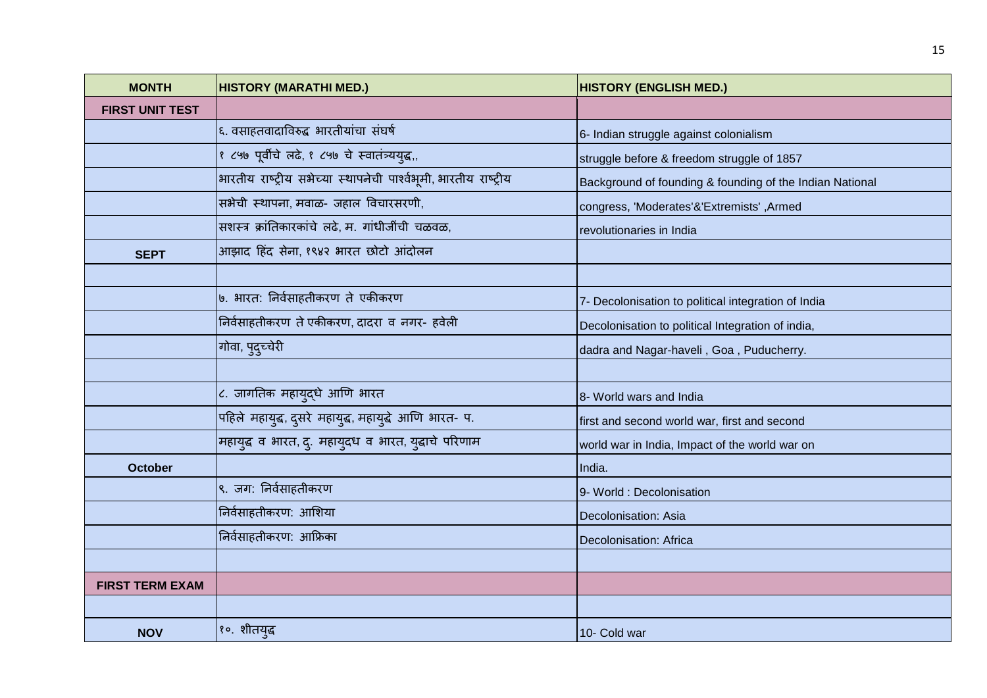| <b>MONTH</b>           | <b>HISTORY (MARATHI MED.)</b>                                    | <b>HISTORY (ENGLISH MED.)</b>                            |
|------------------------|------------------------------------------------------------------|----------------------------------------------------------|
| <b>FIRST UNIT TEST</b> |                                                                  |                                                          |
|                        | ६. वसाहतवादाविरुद्ध भारतीयांचा संघर्ष                            | 6- Indian struggle against colonialism                   |
|                        | १ ८५७ पूर्वीचे लढे, १ ८५७ चे स्वातंत्र्ययुद्ध,,                  | struggle before & freedom struggle of 1857               |
|                        | भारतीय राष्ट्रीय सभेच्या स्थापनेची पार्श्वभूमी, भारतीय राष्ट्रीय | Background of founding & founding of the Indian National |
|                        | सभैची स्थापना, मवाळ- जहाल विचारसरणी,                             | congress, 'Moderates'&'Extremists', Armed                |
|                        | सशस्त्र क्रांतिकारकांचे लढे, म. गांधीजींची चळवळ,                 | revolutionaries in India                                 |
| <b>SEPT</b>            | आझाद हिंद सेना, १९४२ भारत छोटो आंदोलन                            |                                                          |
|                        |                                                                  |                                                          |
|                        | ७. भारत: निर्वसाहतीकरण ते एकीकरण                                 | 7- Decolonisation to political integration of India      |
|                        | निर्वसाहतीकरण ते एकीकरण, दादरा व नगर- हवेली                      | Decolonisation to political Integration of india,        |
|                        | गोवा, पुदुच्चेरी                                                 | dadra and Nagar-haveli, Goa, Puducherry.                 |
|                        |                                                                  |                                                          |
|                        | ८. जागतिक महायुद्धे आणि भारत                                     | 8- World wars and India                                  |
|                        | पहिले महायुद्ध, दुसरे महायुद्ध, महायुद्धे आणि भारत- प.           | first and second world war, first and second             |
|                        | महायुद्ध व भारत, दु. महायुदध व भारत, युद्धाचे परिणाम             | world war in India, Impact of the world war on           |
| <b>October</b>         |                                                                  | India.                                                   |
|                        | ९. जग: निर्वसाहतीकरण                                             | 9- World : Decolonisation                                |
|                        | निर्वसाहतीकरण: आशिया                                             | Decolonisation: Asia                                     |
|                        | निर्वसाहतीकरण: आफ्रिका                                           | Decolonisation: Africa                                   |
|                        |                                                                  |                                                          |
| <b>FIRST TERM EXAM</b> |                                                                  |                                                          |
|                        |                                                                  |                                                          |
| <b>NOV</b>             | १०. शीतयुद्ध                                                     | 10- Cold war                                             |